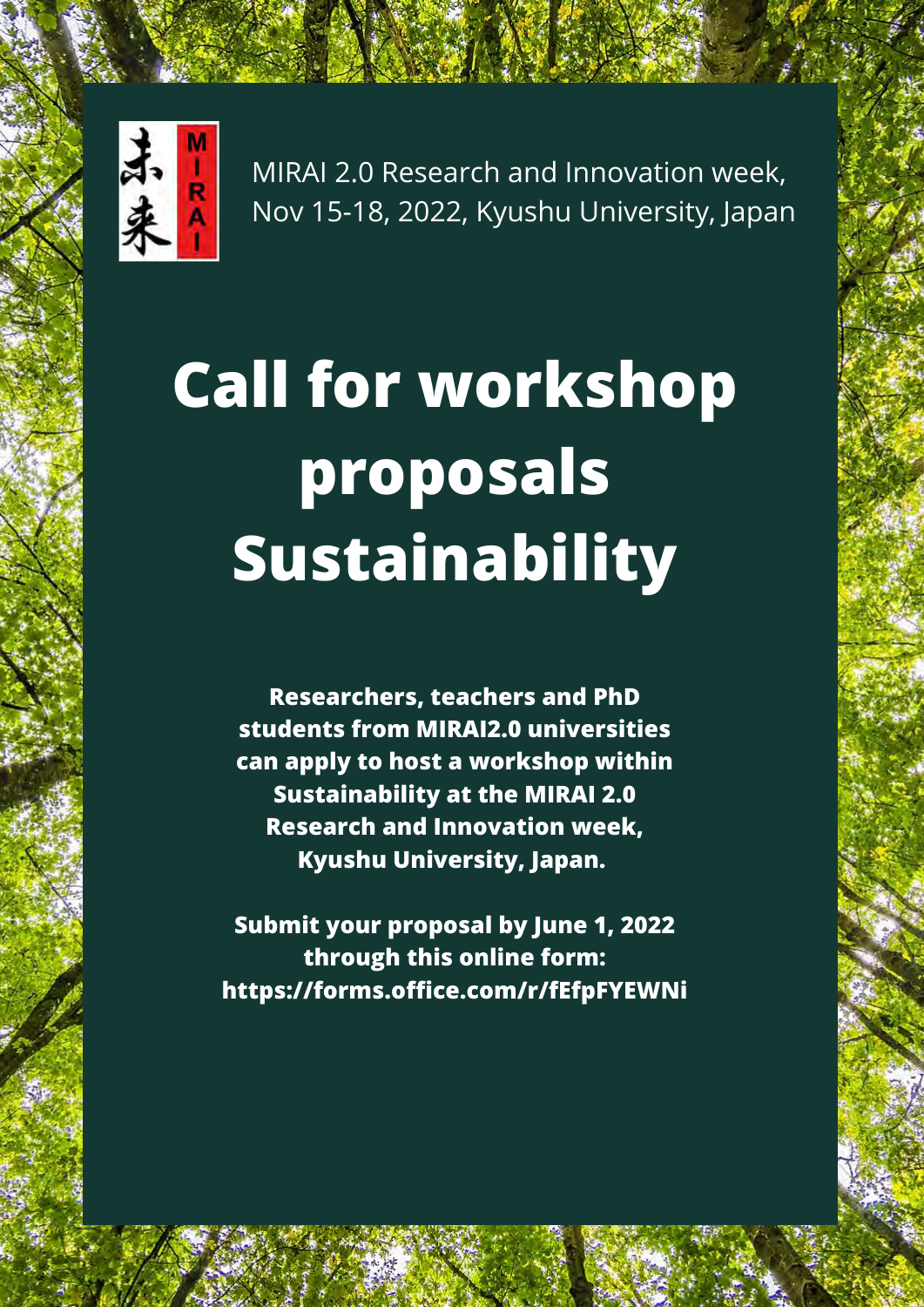# **Call for workshop proposals Sustainability**



MIRAI 2.0 Research and Innovation week, Nov 15-18, 2022, Kyushu University, Japan

**Researchers, teachers and PhD**

**students from MIRAI2.0 universities can apply to host a workshop within Sustainability at the MIRAI 2.0 Research and Innovation week, Kyushu University, Japan.**

**Submit your proposal by June 1, 2022 through this online form: <https://forms.office.com/r/fEfpFYEWNi>**